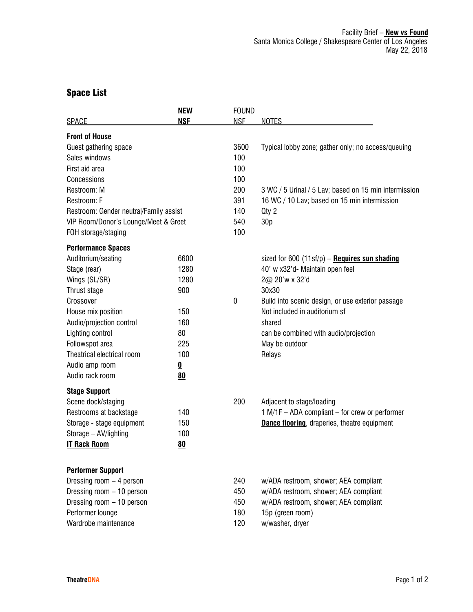## Space List

| <b>SPACE</b>                           | <b>NEW</b><br><b>NSF</b> | <b>FOUND</b><br><b>NSF</b> | <b>NOTES</b>                                          |
|----------------------------------------|--------------------------|----------------------------|-------------------------------------------------------|
| <b>Front of House</b>                  |                          |                            |                                                       |
| Guest gathering space                  |                          | 3600                       | Typical lobby zone; gather only; no access/queuing    |
| Sales windows                          |                          | 100                        |                                                       |
| First aid area                         |                          | 100                        |                                                       |
| Concessions                            |                          | 100                        |                                                       |
| Restroom: M                            |                          | 200                        | 3 WC / 5 Urinal / 5 Lav; based on 15 min intermission |
| Restroom: F                            |                          | 391                        | 16 WC / 10 Lav; based on 15 min intermission          |
| Restroom: Gender neutral/Family assist |                          | 140                        | Qty 2                                                 |
| VIP Room/Donor's Lounge/Meet & Greet   |                          | 540                        | 30 <sub>p</sub>                                       |
| FOH storage/staging                    |                          | 100                        |                                                       |
| <b>Performance Spaces</b>              |                          |                            |                                                       |
| Auditorium/seating                     | 6600                     |                            | sized for 600 $(11sf/p)$ - Requires sun shading       |
| Stage (rear)                           | 1280                     |                            | 40' w x32'd- Maintain open feel                       |
| Wings (SL/SR)                          | 1280                     |                            | 2@ 20'w x 32'd                                        |
| Thrust stage                           | 900                      |                            | 30x30                                                 |
| Crossover                              |                          | $\mathbf{0}$               | Build into scenic design, or use exterior passage     |
| House mix position                     | 150                      |                            | Not included in auditorium sf                         |
| Audio/projection control               | 160                      |                            | shared                                                |
| Lighting control                       | 80                       |                            | can be combined with audio/projection                 |
| Followspot area                        | 225                      |                            | May be outdoor                                        |
| Theatrical electrical room             | 100                      |                            | Relays                                                |
| Audio amp room                         | $\overline{\mathbf{0}}$  |                            |                                                       |
| Audio rack room                        | 80                       |                            |                                                       |
| <b>Stage Support</b>                   |                          |                            |                                                       |
| Scene dock/staging                     |                          | 200                        | Adjacent to stage/loading                             |
| Restrooms at backstage                 | 140                      |                            | 1 M/1F - ADA compliant - for crew or performer        |
| Storage - stage equipment              | 150                      |                            | <b>Dance flooring</b> , draperies, theatre equipment  |
| Storage - AV/lighting                  | 100                      |                            |                                                       |
| <b>IT Rack Room</b>                    | 80                       |                            |                                                       |
|                                        |                          |                            |                                                       |
| <b>Performer Support</b>               |                          |                            |                                                       |
| Dressing room $-4$ person              |                          | 240                        | w/ADA restroom, shower; AEA compliant                 |
| Dressing room - 10 person              |                          | 450                        | w/ADA restroom, shower; AEA compliant                 |
| Dressing room - 10 person              |                          | 450                        | w/ADA restroom, shower; AEA compliant                 |
| Performer lounge                       |                          | 180                        | 15p (green room)                                      |
| Wardrobe maintenance                   |                          | 120                        | w/washer, dryer                                       |